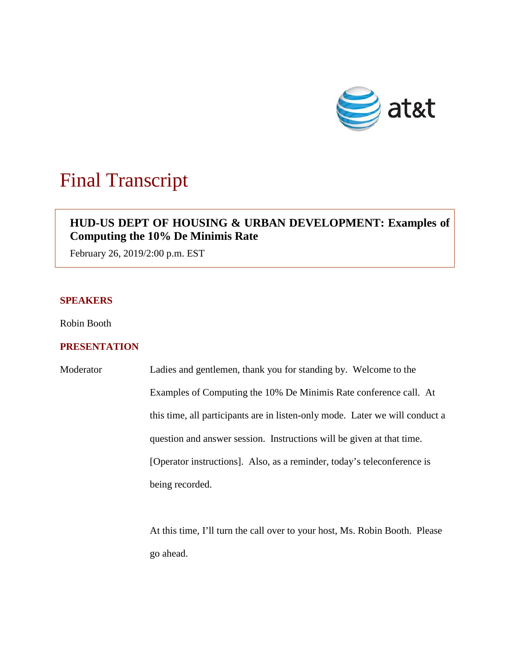

# Final Transcript

# **HUD-US DEPT OF HOUSING & URBAN DEVELOPMENT: Examples of Computing the 10% De Minimis Rate**

February 26, 2019/2:00 p.m. EST

### **SPEAKERS**

Robin Booth

## **PRESENTATION**

Moderator Ladies and gentlemen, thank you for standing by. Welcome to the Examples of Computing the 10% De Minimis Rate conference call. At this time, all participants are in listen-only mode. Later we will conduct a question and answer session. Instructions will be given at that time. [Operator instructions]. Also, as a reminder, today's teleconference is being recorded.

> At this time, I'll turn the call over to your host, Ms. Robin Booth. Please go ahead.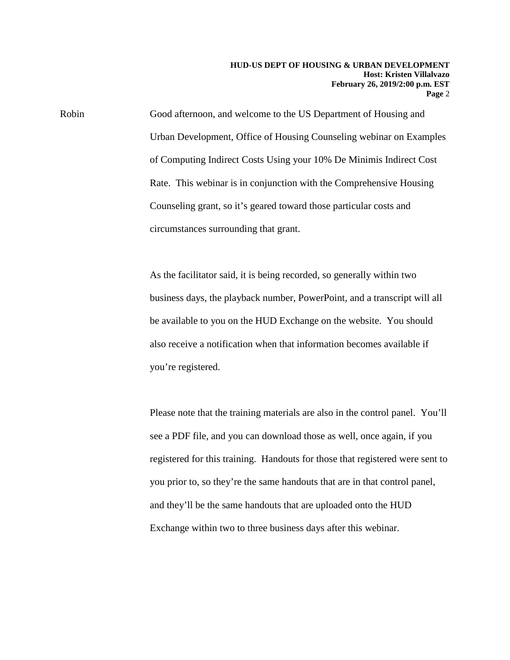Robin Good afternoon, and welcome to the US Department of Housing and Urban Development, Office of Housing Counseling webinar on Examples of Computing Indirect Costs Using your 10% De Minimis Indirect Cost Rate. This webinar is in conjunction with the Comprehensive Housing Counseling grant, so it's geared toward those particular costs and circumstances surrounding that grant.

> As the facilitator said, it is being recorded, so generally within two business days, the playback number, PowerPoint, and a transcript will all be available to you on the HUD Exchange on the website. You should also receive a notification when that information becomes available if you're registered.

Please note that the training materials are also in the control panel. You'll see a PDF file, and you can download those as well, once again, if you registered for this training. Handouts for those that registered were sent to you prior to, so they're the same handouts that are in that control panel, and they'll be the same handouts that are uploaded onto the HUD Exchange within two to three business days after this webinar.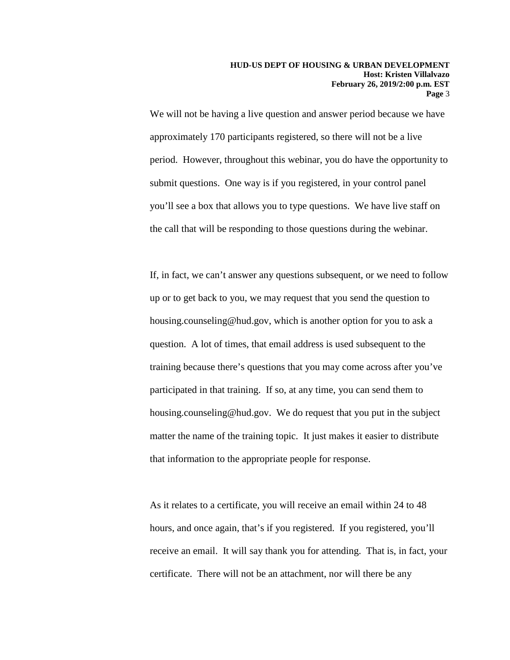We will not be having a live question and answer period because we have approximately 170 participants registered, so there will not be a live period. However, throughout this webinar, you do have the opportunity to submit questions. One way is if you registered, in your control panel you'll see a box that allows you to type questions. We have live staff on the call that will be responding to those questions during the webinar.

If, in fact, we can't answer any questions subsequent, or we need to follow up or to get back to you, we may request that you send the question to housing.counseling@hud.gov, which is another option for you to ask a question. A lot of times, that email address is used subsequent to the training because there's questions that you may come across after you've participated in that training. If so, at any time, you can send them to housing.counseling@hud.gov. We do request that you put in the subject matter the name of the training topic. It just makes it easier to distribute that information to the appropriate people for response.

As it relates to a certificate, you will receive an email within 24 to 48 hours, and once again, that's if you registered. If you registered, you'll receive an email. It will say thank you for attending. That is, in fact, your certificate. There will not be an attachment, nor will there be any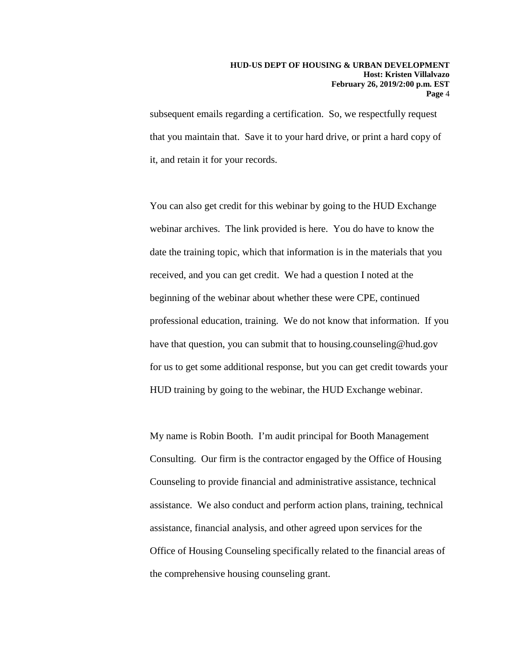subsequent emails regarding a certification. So, we respectfully request that you maintain that. Save it to your hard drive, or print a hard copy of it, and retain it for your records.

You can also get credit for this webinar by going to the HUD Exchange webinar archives. The link provided is here. You do have to know the date the training topic, which that information is in the materials that you received, and you can get credit. We had a question I noted at the beginning of the webinar about whether these were CPE, continued professional education, training. We do not know that information. If you have that question, you can submit that to housing.counseling@hud.gov for us to get some additional response, but you can get credit towards your HUD training by going to the webinar, the HUD Exchange webinar.

My name is Robin Booth. I'm audit principal for Booth Management Consulting. Our firm is the contractor engaged by the Office of Housing Counseling to provide financial and administrative assistance, technical assistance. We also conduct and perform action plans, training, technical assistance, financial analysis, and other agreed upon services for the Office of Housing Counseling specifically related to the financial areas of the comprehensive housing counseling grant.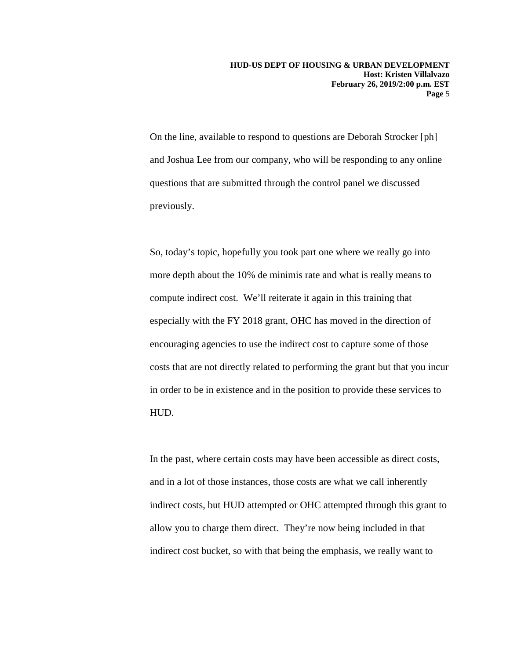On the line, available to respond to questions are Deborah Strocker [ph] and Joshua Lee from our company, who will be responding to any online questions that are submitted through the control panel we discussed previously.

So, today's topic, hopefully you took part one where we really go into more depth about the 10% de minimis rate and what is really means to compute indirect cost. We'll reiterate it again in this training that especially with the FY 2018 grant, OHC has moved in the direction of encouraging agencies to use the indirect cost to capture some of those costs that are not directly related to performing the grant but that you incur in order to be in existence and in the position to provide these services to HUD.

In the past, where certain costs may have been accessible as direct costs, and in a lot of those instances, those costs are what we call inherently indirect costs, but HUD attempted or OHC attempted through this grant to allow you to charge them direct. They're now being included in that indirect cost bucket, so with that being the emphasis, we really want to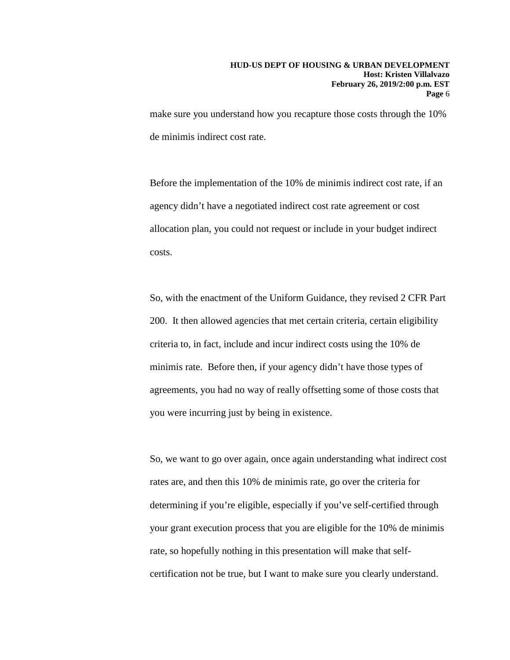make sure you understand how you recapture those costs through the 10% de minimis indirect cost rate.

Before the implementation of the 10% de minimis indirect cost rate, if an agency didn't have a negotiated indirect cost rate agreement or cost allocation plan, you could not request or include in your budget indirect costs.

So, with the enactment of the Uniform Guidance, they revised 2 CFR Part 200. It then allowed agencies that met certain criteria, certain eligibility criteria to, in fact, include and incur indirect costs using the 10% de minimis rate. Before then, if your agency didn't have those types of agreements, you had no way of really offsetting some of those costs that you were incurring just by being in existence.

So, we want to go over again, once again understanding what indirect cost rates are, and then this 10% de minimis rate, go over the criteria for determining if you're eligible, especially if you've self-certified through your grant execution process that you are eligible for the 10% de minimis rate, so hopefully nothing in this presentation will make that selfcertification not be true, but I want to make sure you clearly understand.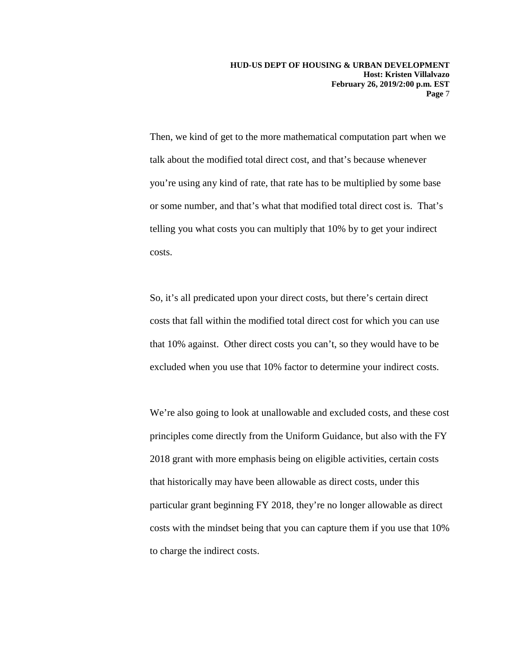Then, we kind of get to the more mathematical computation part when we talk about the modified total direct cost, and that's because whenever you're using any kind of rate, that rate has to be multiplied by some base or some number, and that's what that modified total direct cost is. That's telling you what costs you can multiply that 10% by to get your indirect costs.

So, it's all predicated upon your direct costs, but there's certain direct costs that fall within the modified total direct cost for which you can use that 10% against. Other direct costs you can't, so they would have to be excluded when you use that 10% factor to determine your indirect costs.

We're also going to look at unallowable and excluded costs, and these cost principles come directly from the Uniform Guidance, but also with the FY 2018 grant with more emphasis being on eligible activities, certain costs that historically may have been allowable as direct costs, under this particular grant beginning FY 2018, they're no longer allowable as direct costs with the mindset being that you can capture them if you use that 10% to charge the indirect costs.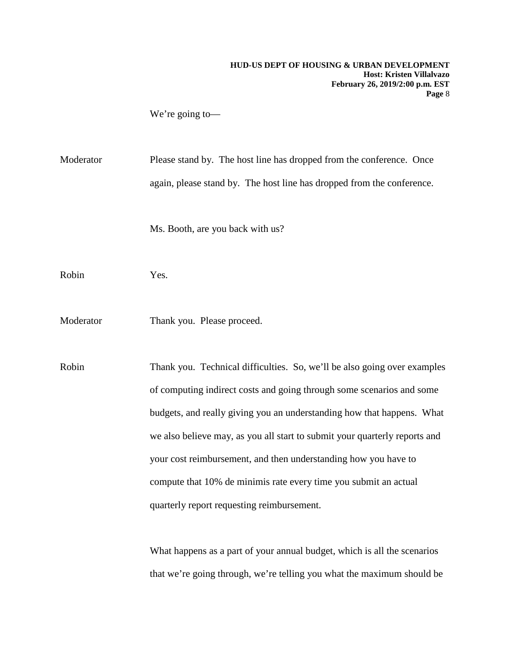We're going to—

Moderator Please stand by. The host line has dropped from the conference. Once again, please stand by. The host line has dropped from the conference.

Ms. Booth, are you back with us?

Robin Yes.

Moderator Thank you. Please proceed.

Robin Thank you. Technical difficulties. So, we'll be also going over examples of computing indirect costs and going through some scenarios and some budgets, and really giving you an understanding how that happens. What we also believe may, as you all start to submit your quarterly reports and your cost reimbursement, and then understanding how you have to compute that 10% de minimis rate every time you submit an actual quarterly report requesting reimbursement.

> What happens as a part of your annual budget, which is all the scenarios that we're going through, we're telling you what the maximum should be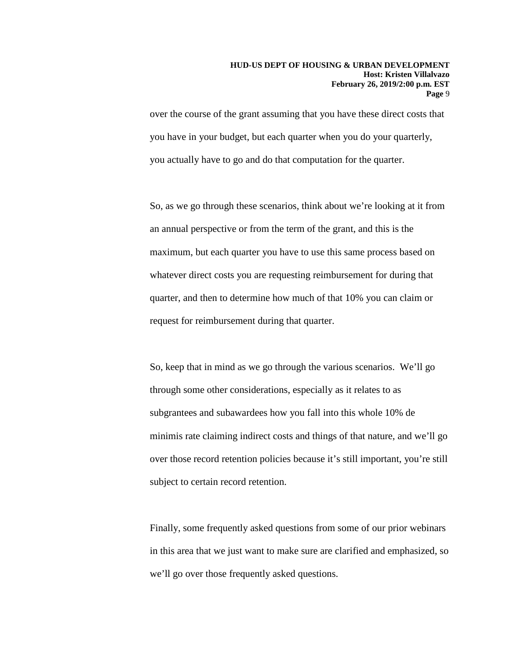over the course of the grant assuming that you have these direct costs that you have in your budget, but each quarter when you do your quarterly, you actually have to go and do that computation for the quarter.

So, as we go through these scenarios, think about we're looking at it from an annual perspective or from the term of the grant, and this is the maximum, but each quarter you have to use this same process based on whatever direct costs you are requesting reimbursement for during that quarter, and then to determine how much of that 10% you can claim or request for reimbursement during that quarter.

So, keep that in mind as we go through the various scenarios. We'll go through some other considerations, especially as it relates to as subgrantees and subawardees how you fall into this whole 10% de minimis rate claiming indirect costs and things of that nature, and we'll go over those record retention policies because it's still important, you're still subject to certain record retention.

Finally, some frequently asked questions from some of our prior webinars in this area that we just want to make sure are clarified and emphasized, so we'll go over those frequently asked questions.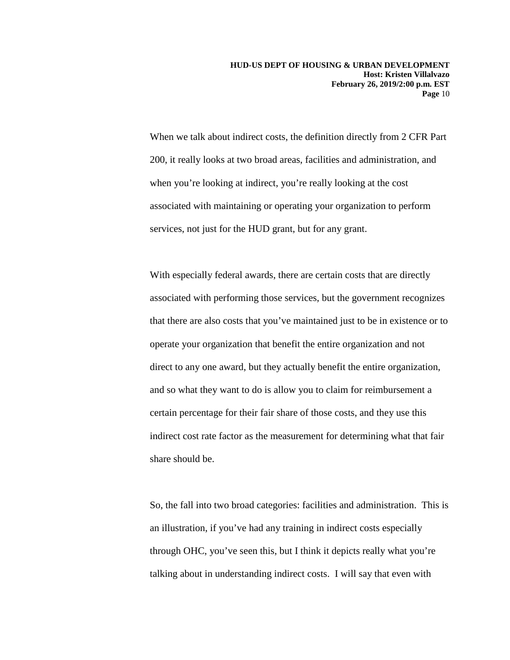When we talk about indirect costs, the definition directly from 2 CFR Part 200, it really looks at two broad areas, facilities and administration, and when you're looking at indirect, you're really looking at the cost associated with maintaining or operating your organization to perform services, not just for the HUD grant, but for any grant.

With especially federal awards, there are certain costs that are directly associated with performing those services, but the government recognizes that there are also costs that you've maintained just to be in existence or to operate your organization that benefit the entire organization and not direct to any one award, but they actually benefit the entire organization, and so what they want to do is allow you to claim for reimbursement a certain percentage for their fair share of those costs, and they use this indirect cost rate factor as the measurement for determining what that fair share should be.

So, the fall into two broad categories: facilities and administration. This is an illustration, if you've had any training in indirect costs especially through OHC, you've seen this, but I think it depicts really what you're talking about in understanding indirect costs. I will say that even with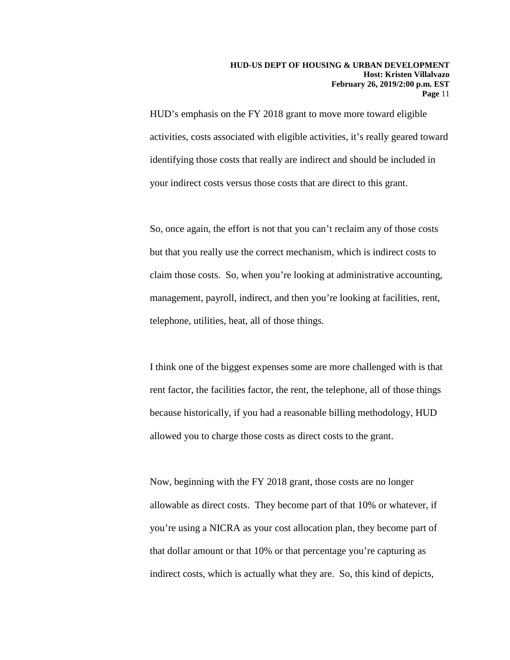HUD's emphasis on the FY 2018 grant to move more toward eligible activities, costs associated with eligible activities, it's really geared toward identifying those costs that really are indirect and should be included in your indirect costs versus those costs that are direct to this grant.

So, once again, the effort is not that you can't reclaim any of those costs but that you really use the correct mechanism, which is indirect costs to claim those costs. So, when you're looking at administrative accounting, management, payroll, indirect, and then you're looking at facilities, rent, telephone, utilities, heat, all of those things.

I think one of the biggest expenses some are more challenged with is that rent factor, the facilities factor, the rent, the telephone, all of those things because historically, if you had a reasonable billing methodology, HUD allowed you to charge those costs as direct costs to the grant.

Now, beginning with the FY 2018 grant, those costs are no longer allowable as direct costs. They become part of that 10% or whatever, if you're using a NICRA as your cost allocation plan, they become part of that dollar amount or that 10% or that percentage you're capturing as indirect costs, which is actually what they are. So, this kind of depicts,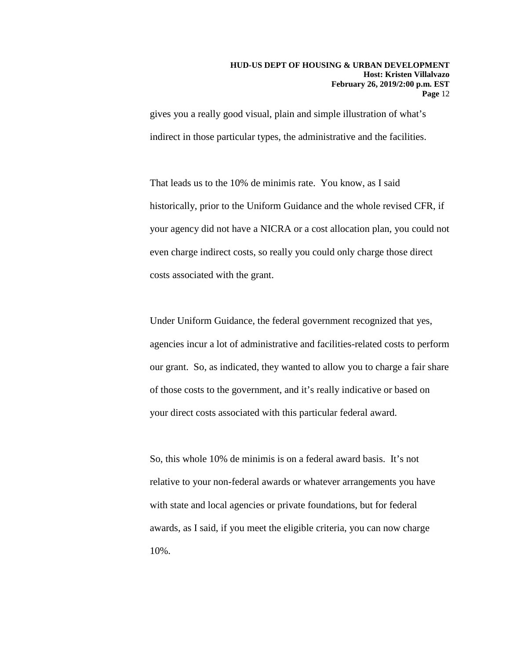gives you a really good visual, plain and simple illustration of what's indirect in those particular types, the administrative and the facilities.

That leads us to the 10% de minimis rate. You know, as I said historically, prior to the Uniform Guidance and the whole revised CFR, if your agency did not have a NICRA or a cost allocation plan, you could not even charge indirect costs, so really you could only charge those direct costs associated with the grant.

Under Uniform Guidance, the federal government recognized that yes, agencies incur a lot of administrative and facilities-related costs to perform our grant. So, as indicated, they wanted to allow you to charge a fair share of those costs to the government, and it's really indicative or based on your direct costs associated with this particular federal award.

So, this whole 10% de minimis is on a federal award basis. It's not relative to your non-federal awards or whatever arrangements you have with state and local agencies or private foundations, but for federal awards, as I said, if you meet the eligible criteria, you can now charge 10%.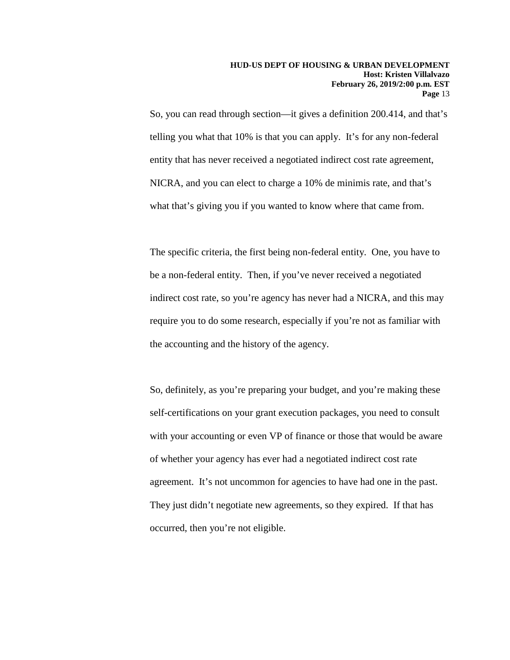So, you can read through section—it gives a definition 200.414, and that's telling you what that 10% is that you can apply. It's for any non-federal entity that has never received a negotiated indirect cost rate agreement, NICRA, and you can elect to charge a 10% de minimis rate, and that's what that's giving you if you wanted to know where that came from.

The specific criteria, the first being non-federal entity. One, you have to be a non-federal entity. Then, if you've never received a negotiated indirect cost rate, so you're agency has never had a NICRA, and this may require you to do some research, especially if you're not as familiar with the accounting and the history of the agency.

So, definitely, as you're preparing your budget, and you're making these self-certifications on your grant execution packages, you need to consult with your accounting or even VP of finance or those that would be aware of whether your agency has ever had a negotiated indirect cost rate agreement. It's not uncommon for agencies to have had one in the past. They just didn't negotiate new agreements, so they expired. If that has occurred, then you're not eligible.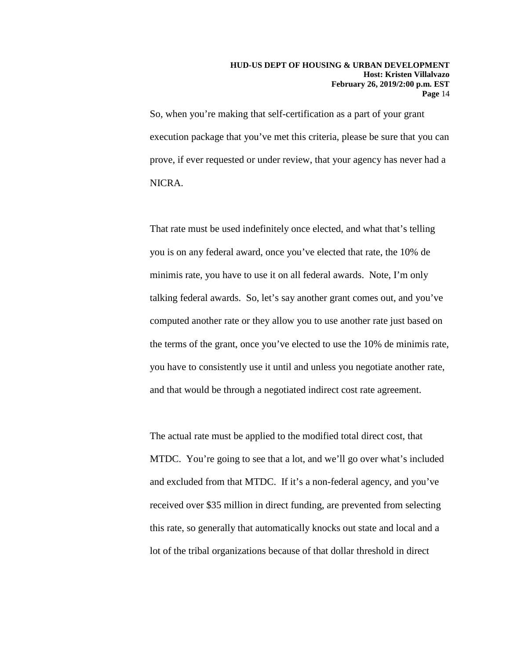So, when you're making that self-certification as a part of your grant execution package that you've met this criteria, please be sure that you can prove, if ever requested or under review, that your agency has never had a NICRA.

That rate must be used indefinitely once elected, and what that's telling you is on any federal award, once you've elected that rate, the 10% de minimis rate, you have to use it on all federal awards. Note, I'm only talking federal awards. So, let's say another grant comes out, and you've computed another rate or they allow you to use another rate just based on the terms of the grant, once you've elected to use the 10% de minimis rate, you have to consistently use it until and unless you negotiate another rate, and that would be through a negotiated indirect cost rate agreement.

The actual rate must be applied to the modified total direct cost, that MTDC. You're going to see that a lot, and we'll go over what's included and excluded from that MTDC. If it's a non-federal agency, and you've received over \$35 million in direct funding, are prevented from selecting this rate, so generally that automatically knocks out state and local and a lot of the tribal organizations because of that dollar threshold in direct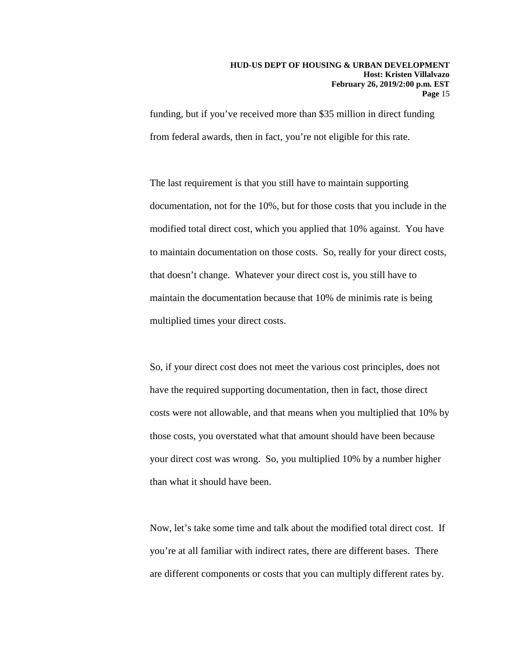funding, but if you've received more than \$35 million in direct funding from federal awards, then in fact, you're not eligible for this rate.

The last requirement is that you still have to maintain supporting documentation, not for the 10%, but for those costs that you include in the modified total direct cost, which you applied that 10% against. You have to maintain documentation on those costs. So, really for your direct costs, that doesn't change. Whatever your direct cost is, you still have to maintain the documentation because that 10% de minimis rate is being multiplied times your direct costs.

So, if your direct cost does not meet the various cost principles, does not have the required supporting documentation, then in fact, those direct costs were not allowable, and that means when you multiplied that 10% by those costs, you overstated what that amount should have been because your direct cost was wrong. So, you multiplied 10% by a number higher than what it should have been.

Now, let's take some time and talk about the modified total direct cost. If you're at all familiar with indirect rates, there are different bases. There are different components or costs that you can multiply different rates by.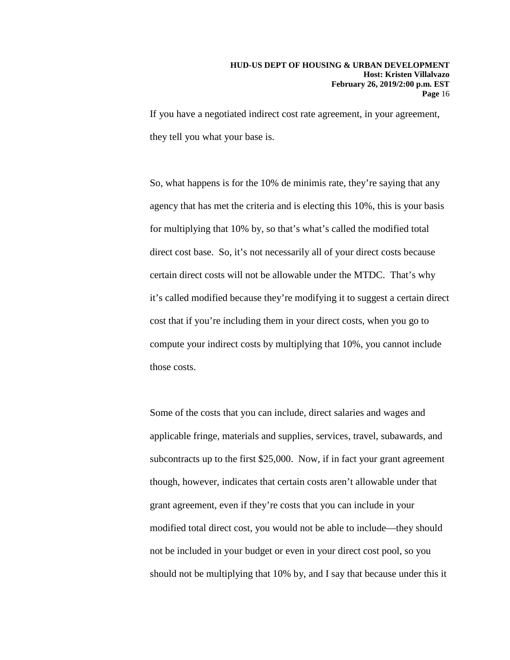If you have a negotiated indirect cost rate agreement, in your agreement, they tell you what your base is.

So, what happens is for the 10% de minimis rate, they're saying that any agency that has met the criteria and is electing this 10%, this is your basis for multiplying that 10% by, so that's what's called the modified total direct cost base. So, it's not necessarily all of your direct costs because certain direct costs will not be allowable under the MTDC. That's why it's called modified because they're modifying it to suggest a certain direct cost that if you're including them in your direct costs, when you go to compute your indirect costs by multiplying that 10%, you cannot include those costs.

Some of the costs that you can include, direct salaries and wages and applicable fringe, materials and supplies, services, travel, subawards, and subcontracts up to the first \$25,000. Now, if in fact your grant agreement though, however, indicates that certain costs aren't allowable under that grant agreement, even if they're costs that you can include in your modified total direct cost, you would not be able to include—they should not be included in your budget or even in your direct cost pool, so you should not be multiplying that 10% by, and I say that because under this it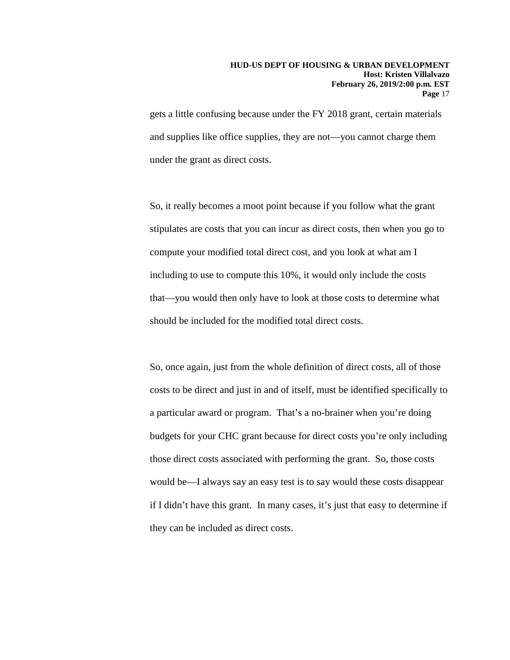gets a little confusing because under the FY 2018 grant, certain materials and supplies like office supplies, they are not—you cannot charge them under the grant as direct costs.

So, it really becomes a moot point because if you follow what the grant stipulates are costs that you can incur as direct costs, then when you go to compute your modified total direct cost, and you look at what am I including to use to compute this 10%, it would only include the costs that—you would then only have to look at those costs to determine what should be included for the modified total direct costs.

So, once again, just from the whole definition of direct costs, all of those costs to be direct and just in and of itself, must be identified specifically to a particular award or program. That's a no-brainer when you're doing budgets for your CHC grant because for direct costs you're only including those direct costs associated with performing the grant. So, those costs would be—I always say an easy test is to say would these costs disappear if I didn't have this grant. In many cases, it's just that easy to determine if they can be included as direct costs.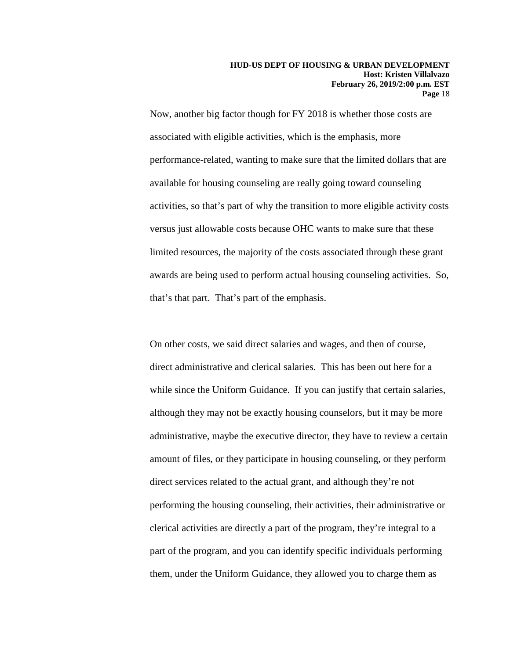Now, another big factor though for FY 2018 is whether those costs are associated with eligible activities, which is the emphasis, more performance-related, wanting to make sure that the limited dollars that are available for housing counseling are really going toward counseling activities, so that's part of why the transition to more eligible activity costs versus just allowable costs because OHC wants to make sure that these limited resources, the majority of the costs associated through these grant awards are being used to perform actual housing counseling activities. So, that's that part. That's part of the emphasis.

On other costs, we said direct salaries and wages, and then of course, direct administrative and clerical salaries. This has been out here for a while since the Uniform Guidance. If you can justify that certain salaries, although they may not be exactly housing counselors, but it may be more administrative, maybe the executive director, they have to review a certain amount of files, or they participate in housing counseling, or they perform direct services related to the actual grant, and although they're not performing the housing counseling, their activities, their administrative or clerical activities are directly a part of the program, they're integral to a part of the program, and you can identify specific individuals performing them, under the Uniform Guidance, they allowed you to charge them as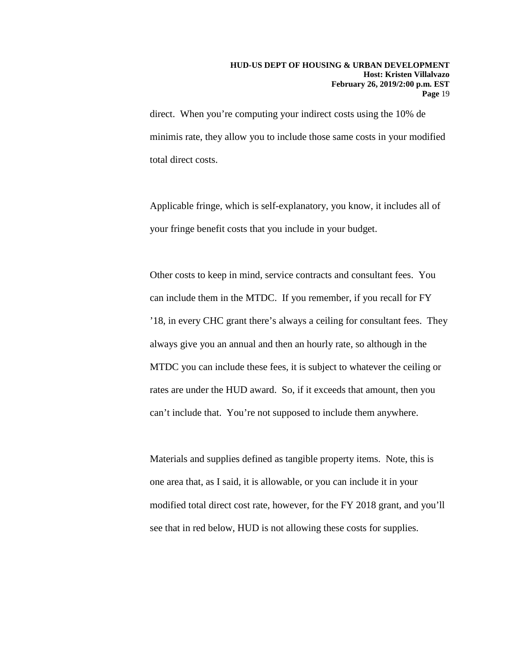direct. When you're computing your indirect costs using the 10% de minimis rate, they allow you to include those same costs in your modified total direct costs.

Applicable fringe, which is self-explanatory, you know, it includes all of your fringe benefit costs that you include in your budget.

Other costs to keep in mind, service contracts and consultant fees. You can include them in the MTDC. If you remember, if you recall for FY '18, in every CHC grant there's always a ceiling for consultant fees. They always give you an annual and then an hourly rate, so although in the MTDC you can include these fees, it is subject to whatever the ceiling or rates are under the HUD award. So, if it exceeds that amount, then you can't include that. You're not supposed to include them anywhere.

Materials and supplies defined as tangible property items. Note, this is one area that, as I said, it is allowable, or you can include it in your modified total direct cost rate, however, for the FY 2018 grant, and you'll see that in red below, HUD is not allowing these costs for supplies.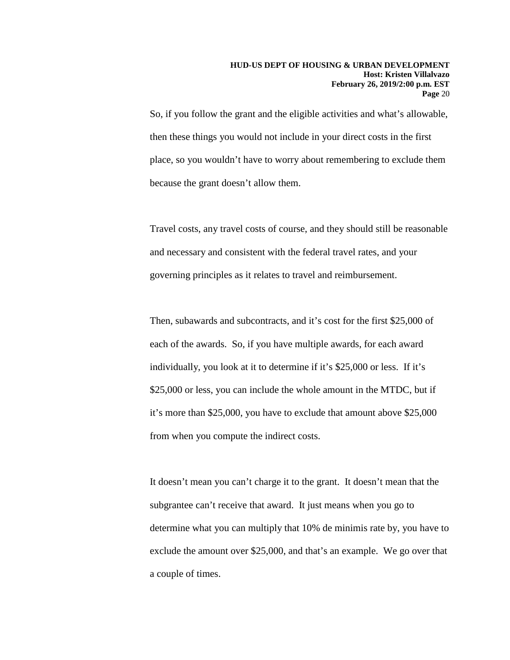So, if you follow the grant and the eligible activities and what's allowable, then these things you would not include in your direct costs in the first place, so you wouldn't have to worry about remembering to exclude them because the grant doesn't allow them.

Travel costs, any travel costs of course, and they should still be reasonable and necessary and consistent with the federal travel rates, and your governing principles as it relates to travel and reimbursement.

Then, subawards and subcontracts, and it's cost for the first \$25,000 of each of the awards. So, if you have multiple awards, for each award individually, you look at it to determine if it's \$25,000 or less. If it's \$25,000 or less, you can include the whole amount in the MTDC, but if it's more than \$25,000, you have to exclude that amount above \$25,000 from when you compute the indirect costs.

It doesn't mean you can't charge it to the grant. It doesn't mean that the subgrantee can't receive that award. It just means when you go to determine what you can multiply that 10% de minimis rate by, you have to exclude the amount over \$25,000, and that's an example. We go over that a couple of times.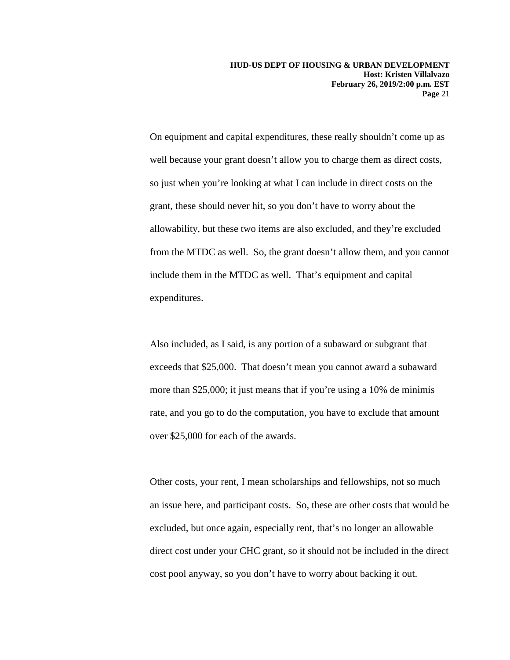On equipment and capital expenditures, these really shouldn't come up as well because your grant doesn't allow you to charge them as direct costs, so just when you're looking at what I can include in direct costs on the grant, these should never hit, so you don't have to worry about the allowability, but these two items are also excluded, and they're excluded from the MTDC as well. So, the grant doesn't allow them, and you cannot include them in the MTDC as well. That's equipment and capital expenditures.

Also included, as I said, is any portion of a subaward or subgrant that exceeds that \$25,000. That doesn't mean you cannot award a subaward more than \$25,000; it just means that if you're using a 10% de minimis rate, and you go to do the computation, you have to exclude that amount over \$25,000 for each of the awards.

Other costs, your rent, I mean scholarships and fellowships, not so much an issue here, and participant costs. So, these are other costs that would be excluded, but once again, especially rent, that's no longer an allowable direct cost under your CHC grant, so it should not be included in the direct cost pool anyway, so you don't have to worry about backing it out.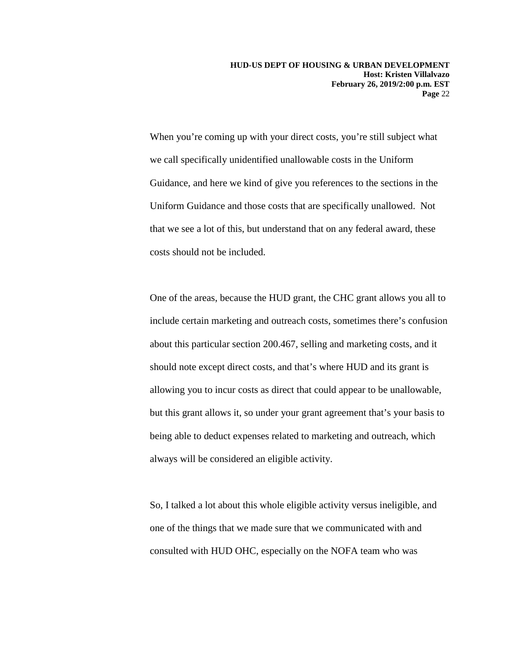When you're coming up with your direct costs, you're still subject what we call specifically unidentified unallowable costs in the Uniform Guidance, and here we kind of give you references to the sections in the Uniform Guidance and those costs that are specifically unallowed. Not that we see a lot of this, but understand that on any federal award, these costs should not be included.

One of the areas, because the HUD grant, the CHC grant allows you all to include certain marketing and outreach costs, sometimes there's confusion about this particular section 200.467, selling and marketing costs, and it should note except direct costs, and that's where HUD and its grant is allowing you to incur costs as direct that could appear to be unallowable, but this grant allows it, so under your grant agreement that's your basis to being able to deduct expenses related to marketing and outreach, which always will be considered an eligible activity.

So, I talked a lot about this whole eligible activity versus ineligible, and one of the things that we made sure that we communicated with and consulted with HUD OHC, especially on the NOFA team who was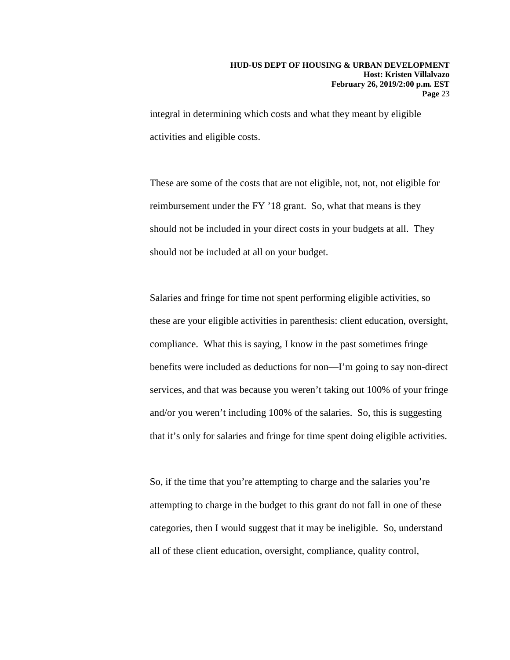integral in determining which costs and what they meant by eligible activities and eligible costs.

These are some of the costs that are not eligible, not, not, not eligible for reimbursement under the FY '18 grant. So, what that means is they should not be included in your direct costs in your budgets at all. They should not be included at all on your budget.

Salaries and fringe for time not spent performing eligible activities, so these are your eligible activities in parenthesis: client education, oversight, compliance. What this is saying, I know in the past sometimes fringe benefits were included as deductions for non—I'm going to say non-direct services, and that was because you weren't taking out 100% of your fringe and/or you weren't including 100% of the salaries. So, this is suggesting that it's only for salaries and fringe for time spent doing eligible activities.

So, if the time that you're attempting to charge and the salaries you're attempting to charge in the budget to this grant do not fall in one of these categories, then I would suggest that it may be ineligible. So, understand all of these client education, oversight, compliance, quality control,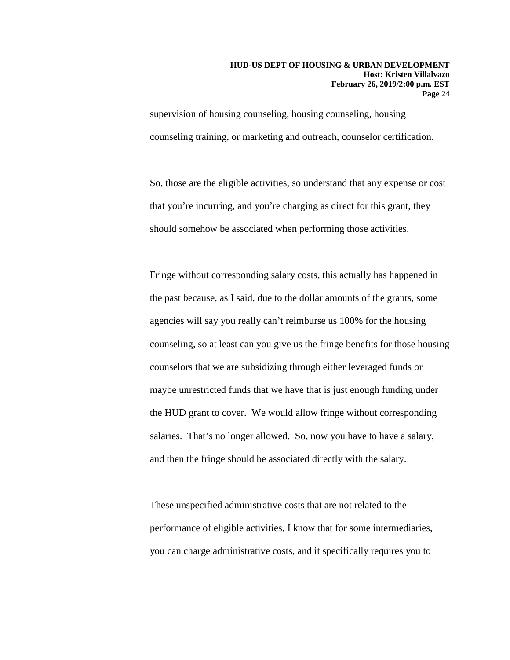supervision of housing counseling, housing counseling, housing counseling training, or marketing and outreach, counselor certification.

So, those are the eligible activities, so understand that any expense or cost that you're incurring, and you're charging as direct for this grant, they should somehow be associated when performing those activities.

Fringe without corresponding salary costs, this actually has happened in the past because, as I said, due to the dollar amounts of the grants, some agencies will say you really can't reimburse us 100% for the housing counseling, so at least can you give us the fringe benefits for those housing counselors that we are subsidizing through either leveraged funds or maybe unrestricted funds that we have that is just enough funding under the HUD grant to cover. We would allow fringe without corresponding salaries. That's no longer allowed. So, now you have to have a salary, and then the fringe should be associated directly with the salary.

These unspecified administrative costs that are not related to the performance of eligible activities, I know that for some intermediaries, you can charge administrative costs, and it specifically requires you to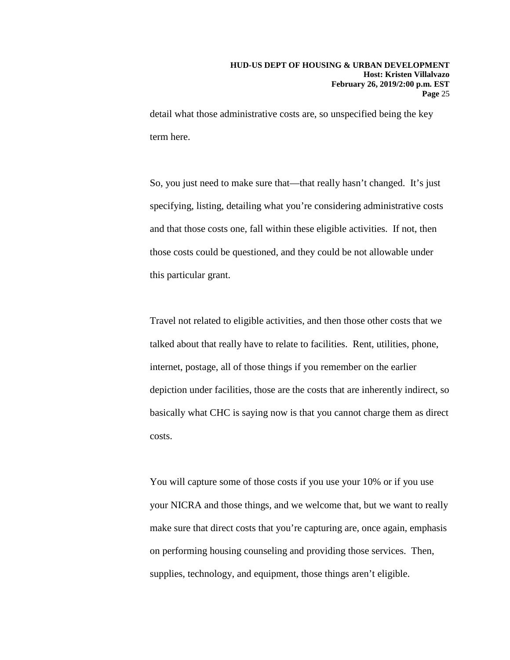detail what those administrative costs are, so unspecified being the key term here.

So, you just need to make sure that—that really hasn't changed. It's just specifying, listing, detailing what you're considering administrative costs and that those costs one, fall within these eligible activities. If not, then those costs could be questioned, and they could be not allowable under this particular grant.

Travel not related to eligible activities, and then those other costs that we talked about that really have to relate to facilities. Rent, utilities, phone, internet, postage, all of those things if you remember on the earlier depiction under facilities, those are the costs that are inherently indirect, so basically what CHC is saying now is that you cannot charge them as direct costs.

You will capture some of those costs if you use your 10% or if you use your NICRA and those things, and we welcome that, but we want to really make sure that direct costs that you're capturing are, once again, emphasis on performing housing counseling and providing those services. Then, supplies, technology, and equipment, those things aren't eligible.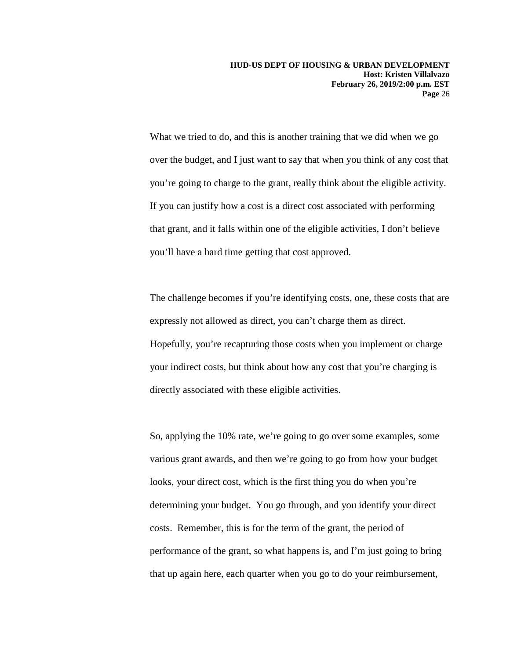What we tried to do, and this is another training that we did when we go over the budget, and I just want to say that when you think of any cost that you're going to charge to the grant, really think about the eligible activity. If you can justify how a cost is a direct cost associated with performing that grant, and it falls within one of the eligible activities, I don't believe you'll have a hard time getting that cost approved.

The challenge becomes if you're identifying costs, one, these costs that are expressly not allowed as direct, you can't charge them as direct. Hopefully, you're recapturing those costs when you implement or charge your indirect costs, but think about how any cost that you're charging is directly associated with these eligible activities.

So, applying the 10% rate, we're going to go over some examples, some various grant awards, and then we're going to go from how your budget looks, your direct cost, which is the first thing you do when you're determining your budget. You go through, and you identify your direct costs. Remember, this is for the term of the grant, the period of performance of the grant, so what happens is, and I'm just going to bring that up again here, each quarter when you go to do your reimbursement,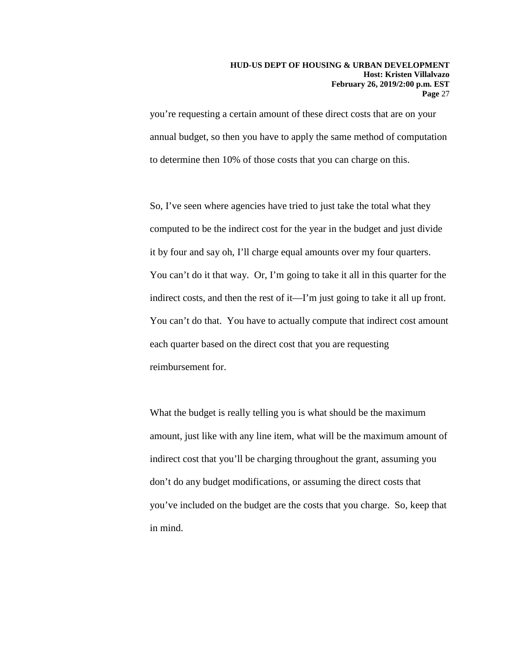you're requesting a certain amount of these direct costs that are on your annual budget, so then you have to apply the same method of computation to determine then 10% of those costs that you can charge on this.

So, I've seen where agencies have tried to just take the total what they computed to be the indirect cost for the year in the budget and just divide it by four and say oh, I'll charge equal amounts over my four quarters. You can't do it that way. Or, I'm going to take it all in this quarter for the indirect costs, and then the rest of it—I'm just going to take it all up front. You can't do that. You have to actually compute that indirect cost amount each quarter based on the direct cost that you are requesting reimbursement for.

What the budget is really telling you is what should be the maximum amount, just like with any line item, what will be the maximum amount of indirect cost that you'll be charging throughout the grant, assuming you don't do any budget modifications, or assuming the direct costs that you've included on the budget are the costs that you charge. So, keep that in mind.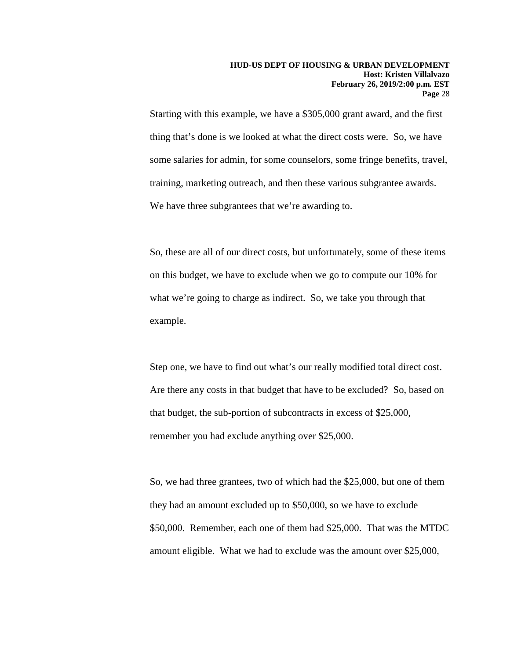Starting with this example, we have a \$305,000 grant award, and the first thing that's done is we looked at what the direct costs were. So, we have some salaries for admin, for some counselors, some fringe benefits, travel, training, marketing outreach, and then these various subgrantee awards. We have three subgrantees that we're awarding to.

So, these are all of our direct costs, but unfortunately, some of these items on this budget, we have to exclude when we go to compute our 10% for what we're going to charge as indirect. So, we take you through that example.

Step one, we have to find out what's our really modified total direct cost. Are there any costs in that budget that have to be excluded? So, based on that budget, the sub-portion of subcontracts in excess of \$25,000, remember you had exclude anything over \$25,000.

So, we had three grantees, two of which had the \$25,000, but one of them they had an amount excluded up to \$50,000, so we have to exclude \$50,000. Remember, each one of them had \$25,000. That was the MTDC amount eligible. What we had to exclude was the amount over \$25,000,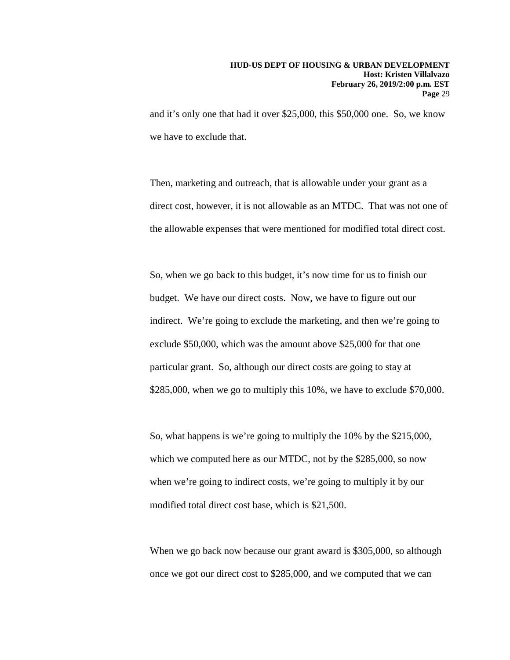and it's only one that had it over \$25,000, this \$50,000 one. So, we know we have to exclude that.

Then, marketing and outreach, that is allowable under your grant as a direct cost, however, it is not allowable as an MTDC. That was not one of the allowable expenses that were mentioned for modified total direct cost.

So, when we go back to this budget, it's now time for us to finish our budget. We have our direct costs. Now, we have to figure out our indirect. We're going to exclude the marketing, and then we're going to exclude \$50,000, which was the amount above \$25,000 for that one particular grant. So, although our direct costs are going to stay at \$285,000, when we go to multiply this 10%, we have to exclude \$70,000.

So, what happens is we're going to multiply the 10% by the \$215,000, which we computed here as our MTDC, not by the \$285,000, so now when we're going to indirect costs, we're going to multiply it by our modified total direct cost base, which is \$21,500.

When we go back now because our grant award is \$305,000, so although once we got our direct cost to \$285,000, and we computed that we can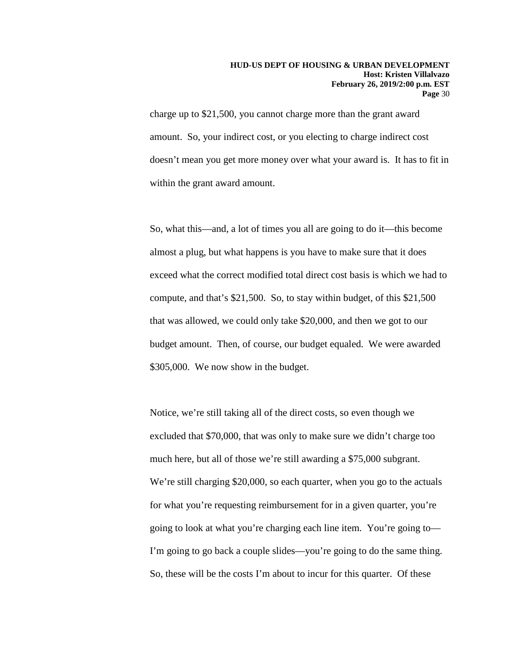charge up to \$21,500, you cannot charge more than the grant award amount. So, your indirect cost, or you electing to charge indirect cost doesn't mean you get more money over what your award is. It has to fit in within the grant award amount.

So, what this—and, a lot of times you all are going to do it—this become almost a plug, but what happens is you have to make sure that it does exceed what the correct modified total direct cost basis is which we had to compute, and that's \$21,500. So, to stay within budget, of this \$21,500 that was allowed, we could only take \$20,000, and then we got to our budget amount. Then, of course, our budget equaled. We were awarded \$305,000. We now show in the budget.

Notice, we're still taking all of the direct costs, so even though we excluded that \$70,000, that was only to make sure we didn't charge too much here, but all of those we're still awarding a \$75,000 subgrant. We're still charging \$20,000, so each quarter, when you go to the actuals for what you're requesting reimbursement for in a given quarter, you're going to look at what you're charging each line item. You're going to— I'm going to go back a couple slides—you're going to do the same thing. So, these will be the costs I'm about to incur for this quarter. Of these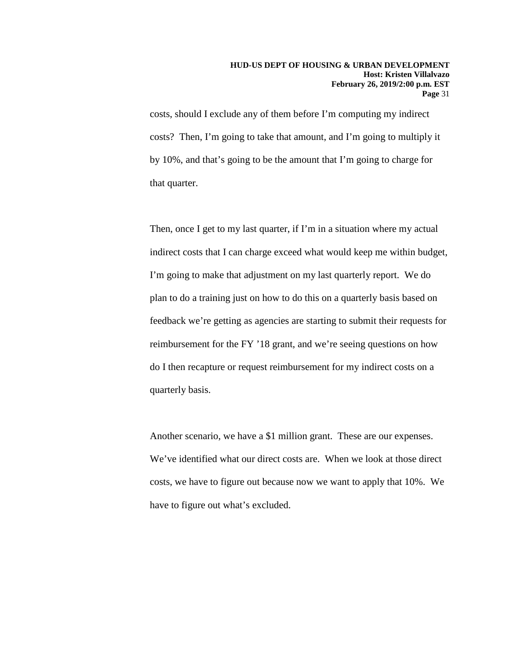costs, should I exclude any of them before I'm computing my indirect costs? Then, I'm going to take that amount, and I'm going to multiply it by 10%, and that's going to be the amount that I'm going to charge for that quarter.

Then, once I get to my last quarter, if I'm in a situation where my actual indirect costs that I can charge exceed what would keep me within budget, I'm going to make that adjustment on my last quarterly report. We do plan to do a training just on how to do this on a quarterly basis based on feedback we're getting as agencies are starting to submit their requests for reimbursement for the FY '18 grant, and we're seeing questions on how do I then recapture or request reimbursement for my indirect costs on a quarterly basis.

Another scenario, we have a \$1 million grant. These are our expenses. We've identified what our direct costs are. When we look at those direct costs, we have to figure out because now we want to apply that 10%. We have to figure out what's excluded.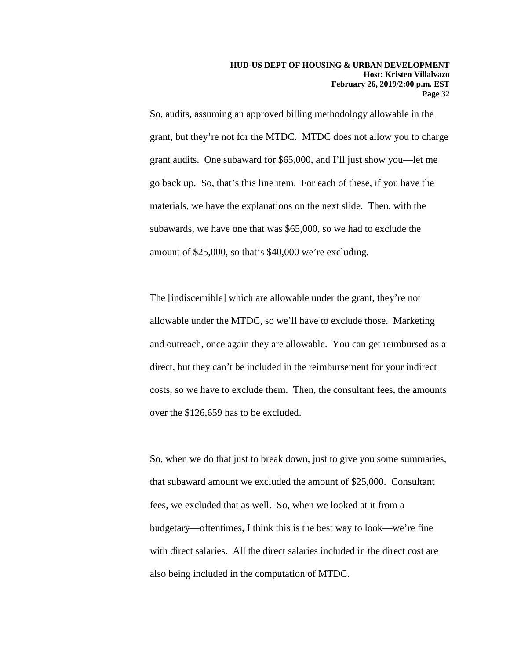So, audits, assuming an approved billing methodology allowable in the grant, but they're not for the MTDC. MTDC does not allow you to charge grant audits. One subaward for \$65,000, and I'll just show you—let me go back up. So, that's this line item. For each of these, if you have the materials, we have the explanations on the next slide. Then, with the subawards, we have one that was \$65,000, so we had to exclude the amount of \$25,000, so that's \$40,000 we're excluding.

The [indiscernible] which are allowable under the grant, they're not allowable under the MTDC, so we'll have to exclude those. Marketing and outreach, once again they are allowable. You can get reimbursed as a direct, but they can't be included in the reimbursement for your indirect costs, so we have to exclude them. Then, the consultant fees, the amounts over the \$126,659 has to be excluded.

So, when we do that just to break down, just to give you some summaries, that subaward amount we excluded the amount of \$25,000. Consultant fees, we excluded that as well. So, when we looked at it from a budgetary—oftentimes, I think this is the best way to look—we're fine with direct salaries. All the direct salaries included in the direct cost are also being included in the computation of MTDC.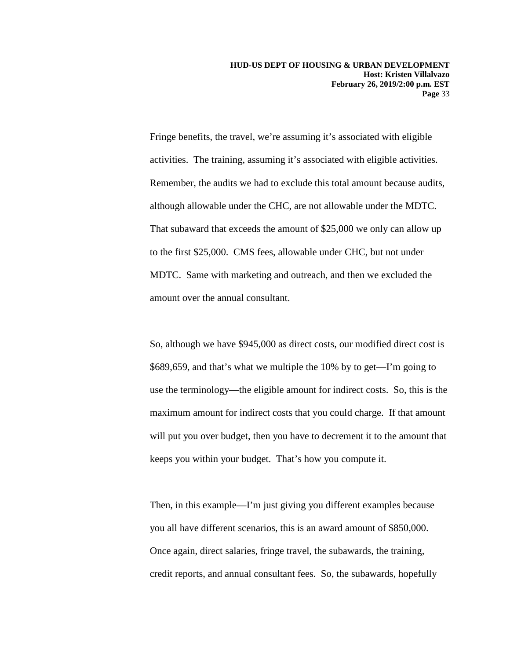Fringe benefits, the travel, we're assuming it's associated with eligible activities. The training, assuming it's associated with eligible activities. Remember, the audits we had to exclude this total amount because audits, although allowable under the CHC, are not allowable under the MDTC. That subaward that exceeds the amount of \$25,000 we only can allow up to the first \$25,000. CMS fees, allowable under CHC, but not under MDTC. Same with marketing and outreach, and then we excluded the amount over the annual consultant.

So, although we have \$945,000 as direct costs, our modified direct cost is \$689,659, and that's what we multiple the 10% by to get—I'm going to use the terminology—the eligible amount for indirect costs. So, this is the maximum amount for indirect costs that you could charge. If that amount will put you over budget, then you have to decrement it to the amount that keeps you within your budget. That's how you compute it.

Then, in this example—I'm just giving you different examples because you all have different scenarios, this is an award amount of \$850,000. Once again, direct salaries, fringe travel, the subawards, the training, credit reports, and annual consultant fees. So, the subawards, hopefully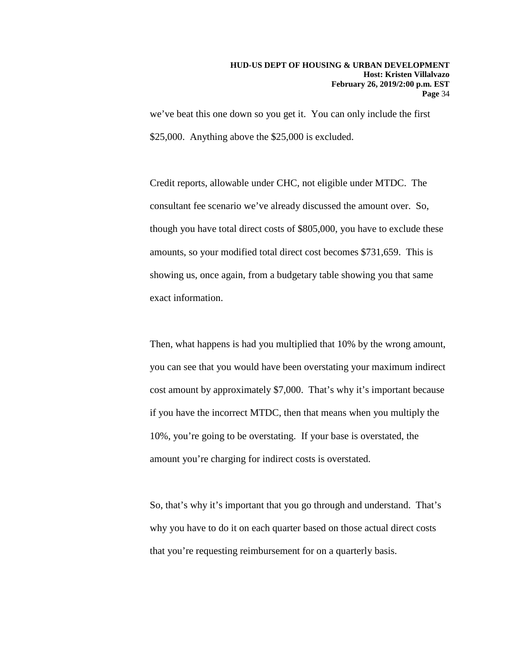we've beat this one down so you get it. You can only include the first \$25,000. Anything above the \$25,000 is excluded.

Credit reports, allowable under CHC, not eligible under MTDC. The consultant fee scenario we've already discussed the amount over. So, though you have total direct costs of \$805,000, you have to exclude these amounts, so your modified total direct cost becomes \$731,659. This is showing us, once again, from a budgetary table showing you that same exact information.

Then, what happens is had you multiplied that 10% by the wrong amount, you can see that you would have been overstating your maximum indirect cost amount by approximately \$7,000. That's why it's important because if you have the incorrect MTDC, then that means when you multiply the 10%, you're going to be overstating. If your base is overstated, the amount you're charging for indirect costs is overstated.

So, that's why it's important that you go through and understand. That's why you have to do it on each quarter based on those actual direct costs that you're requesting reimbursement for on a quarterly basis.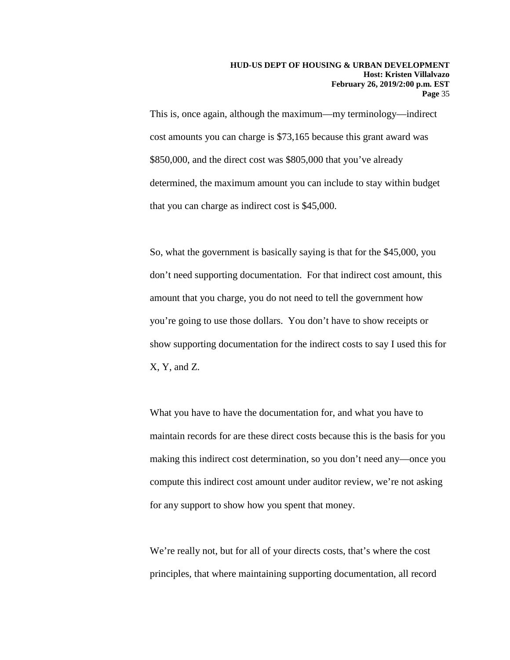This is, once again, although the maximum—my terminology—indirect cost amounts you can charge is \$73,165 because this grant award was \$850,000, and the direct cost was \$805,000 that you've already determined, the maximum amount you can include to stay within budget that you can charge as indirect cost is \$45,000.

So, what the government is basically saying is that for the \$45,000, you don't need supporting documentation. For that indirect cost amount, this amount that you charge, you do not need to tell the government how you're going to use those dollars. You don't have to show receipts or show supporting documentation for the indirect costs to say I used this for X, Y, and Z.

What you have to have the documentation for, and what you have to maintain records for are these direct costs because this is the basis for you making this indirect cost determination, so you don't need any—once you compute this indirect cost amount under auditor review, we're not asking for any support to show how you spent that money.

We're really not, but for all of your directs costs, that's where the cost principles, that where maintaining supporting documentation, all record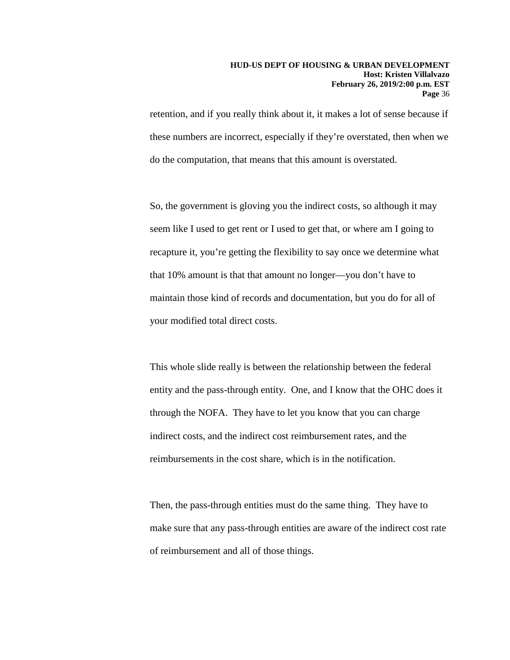retention, and if you really think about it, it makes a lot of sense because if these numbers are incorrect, especially if they're overstated, then when we do the computation, that means that this amount is overstated.

So, the government is gloving you the indirect costs, so although it may seem like I used to get rent or I used to get that, or where am I going to recapture it, you're getting the flexibility to say once we determine what that 10% amount is that that amount no longer—you don't have to maintain those kind of records and documentation, but you do for all of your modified total direct costs.

This whole slide really is between the relationship between the federal entity and the pass-through entity. One, and I know that the OHC does it through the NOFA. They have to let you know that you can charge indirect costs, and the indirect cost reimbursement rates, and the reimbursements in the cost share, which is in the notification.

Then, the pass-through entities must do the same thing. They have to make sure that any pass-through entities are aware of the indirect cost rate of reimbursement and all of those things.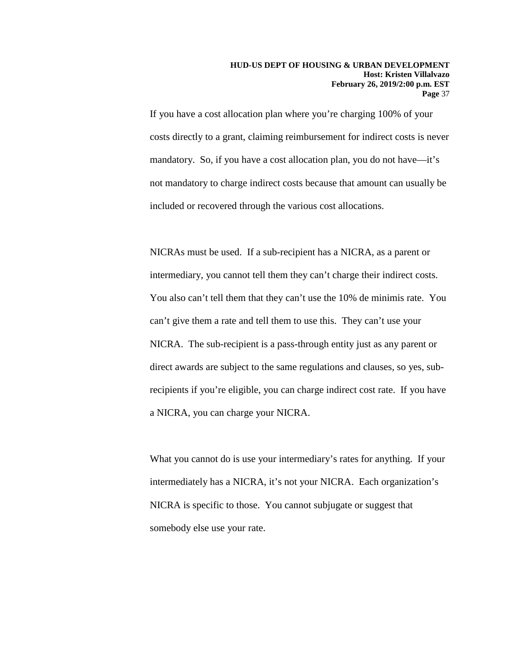If you have a cost allocation plan where you're charging 100% of your costs directly to a grant, claiming reimbursement for indirect costs is never mandatory. So, if you have a cost allocation plan, you do not have—it's not mandatory to charge indirect costs because that amount can usually be included or recovered through the various cost allocations.

NICRAs must be used. If a sub-recipient has a NICRA, as a parent or intermediary, you cannot tell them they can't charge their indirect costs. You also can't tell them that they can't use the 10% de minimis rate. You can't give them a rate and tell them to use this. They can't use your NICRA. The sub-recipient is a pass-through entity just as any parent or direct awards are subject to the same regulations and clauses, so yes, subrecipients if you're eligible, you can charge indirect cost rate. If you have a NICRA, you can charge your NICRA.

What you cannot do is use your intermediary's rates for anything. If your intermediately has a NICRA, it's not your NICRA. Each organization's NICRA is specific to those. You cannot subjugate or suggest that somebody else use your rate.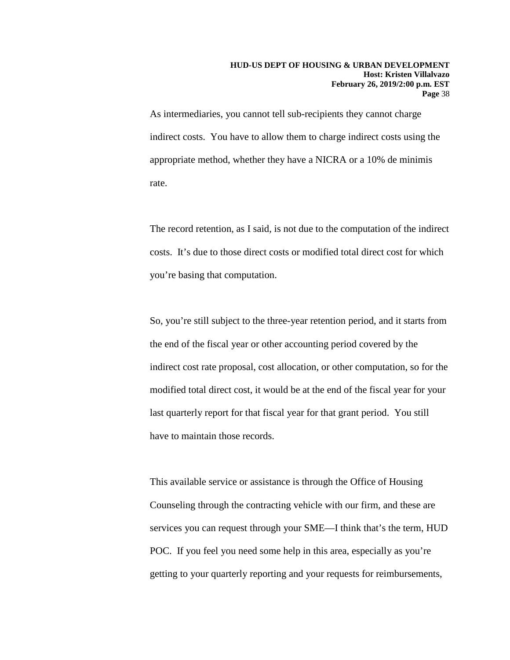As intermediaries, you cannot tell sub-recipients they cannot charge indirect costs. You have to allow them to charge indirect costs using the appropriate method, whether they have a NICRA or a 10% de minimis rate.

The record retention, as I said, is not due to the computation of the indirect costs. It's due to those direct costs or modified total direct cost for which you're basing that computation.

So, you're still subject to the three-year retention period, and it starts from the end of the fiscal year or other accounting period covered by the indirect cost rate proposal, cost allocation, or other computation, so for the modified total direct cost, it would be at the end of the fiscal year for your last quarterly report for that fiscal year for that grant period. You still have to maintain those records.

This available service or assistance is through the Office of Housing Counseling through the contracting vehicle with our firm, and these are services you can request through your SME—I think that's the term, HUD POC. If you feel you need some help in this area, especially as you're getting to your quarterly reporting and your requests for reimbursements,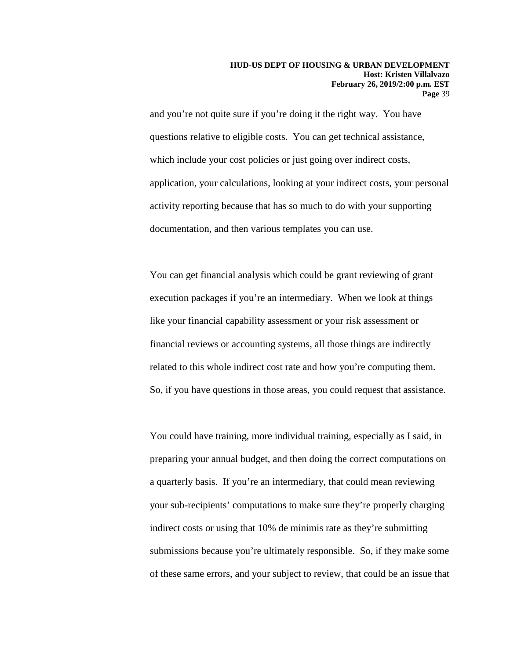and you're not quite sure if you're doing it the right way. You have questions relative to eligible costs. You can get technical assistance, which include your cost policies or just going over indirect costs, application, your calculations, looking at your indirect costs, your personal activity reporting because that has so much to do with your supporting documentation, and then various templates you can use.

You can get financial analysis which could be grant reviewing of grant execution packages if you're an intermediary. When we look at things like your financial capability assessment or your risk assessment or financial reviews or accounting systems, all those things are indirectly related to this whole indirect cost rate and how you're computing them. So, if you have questions in those areas, you could request that assistance.

You could have training, more individual training, especially as I said, in preparing your annual budget, and then doing the correct computations on a quarterly basis. If you're an intermediary, that could mean reviewing your sub-recipients' computations to make sure they're properly charging indirect costs or using that 10% de minimis rate as they're submitting submissions because you're ultimately responsible. So, if they make some of these same errors, and your subject to review, that could be an issue that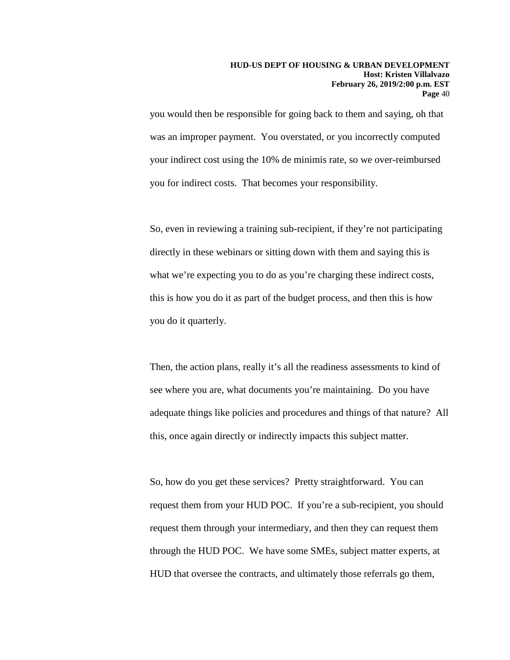you would then be responsible for going back to them and saying, oh that was an improper payment. You overstated, or you incorrectly computed your indirect cost using the 10% de minimis rate, so we over-reimbursed you for indirect costs. That becomes your responsibility.

So, even in reviewing a training sub-recipient, if they're not participating directly in these webinars or sitting down with them and saying this is what we're expecting you to do as you're charging these indirect costs, this is how you do it as part of the budget process, and then this is how you do it quarterly.

Then, the action plans, really it's all the readiness assessments to kind of see where you are, what documents you're maintaining. Do you have adequate things like policies and procedures and things of that nature? All this, once again directly or indirectly impacts this subject matter.

So, how do you get these services? Pretty straightforward. You can request them from your HUD POC. If you're a sub-recipient, you should request them through your intermediary, and then they can request them through the HUD POC. We have some SMEs, subject matter experts, at HUD that oversee the contracts, and ultimately those referrals go them,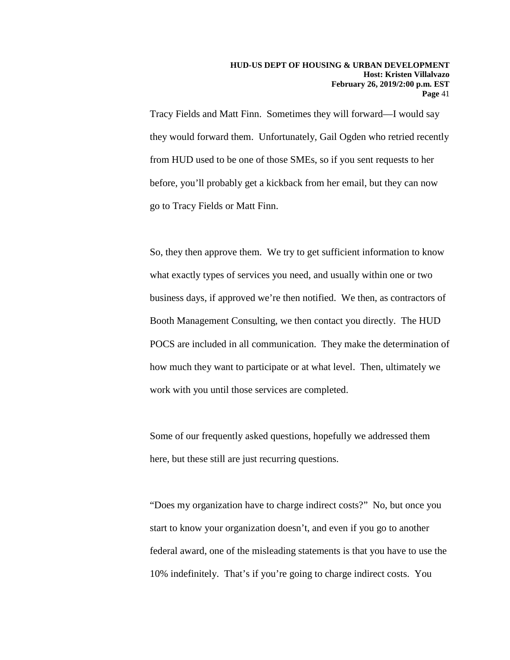Tracy Fields and Matt Finn. Sometimes they will forward—I would say they would forward them. Unfortunately, Gail Ogden who retried recently from HUD used to be one of those SMEs, so if you sent requests to her before, you'll probably get a kickback from her email, but they can now go to Tracy Fields or Matt Finn.

So, they then approve them. We try to get sufficient information to know what exactly types of services you need, and usually within one or two business days, if approved we're then notified. We then, as contractors of Booth Management Consulting, we then contact you directly. The HUD POCS are included in all communication. They make the determination of how much they want to participate or at what level. Then, ultimately we work with you until those services are completed.

Some of our frequently asked questions, hopefully we addressed them here, but these still are just recurring questions.

"Does my organization have to charge indirect costs?" No, but once you start to know your organization doesn't, and even if you go to another federal award, one of the misleading statements is that you have to use the 10% indefinitely. That's if you're going to charge indirect costs. You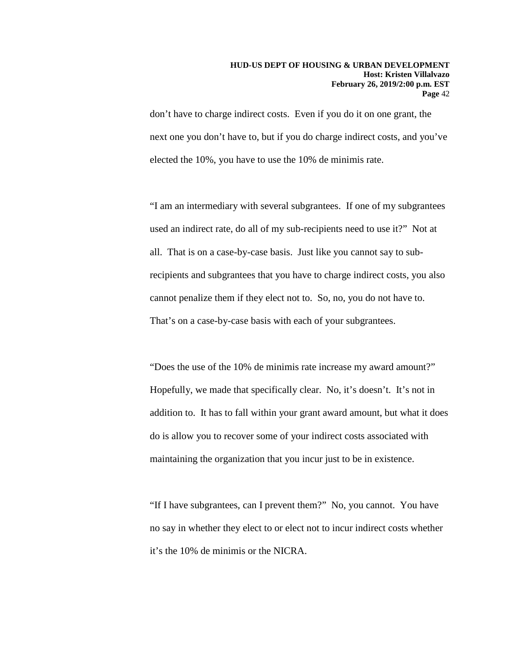don't have to charge indirect costs. Even if you do it on one grant, the next one you don't have to, but if you do charge indirect costs, and you've elected the 10%, you have to use the 10% de minimis rate.

"I am an intermediary with several subgrantees. If one of my subgrantees used an indirect rate, do all of my sub-recipients need to use it?" Not at all. That is on a case-by-case basis. Just like you cannot say to subrecipients and subgrantees that you have to charge indirect costs, you also cannot penalize them if they elect not to. So, no, you do not have to. That's on a case-by-case basis with each of your subgrantees.

"Does the use of the 10% de minimis rate increase my award amount?" Hopefully, we made that specifically clear. No, it's doesn't. It's not in addition to. It has to fall within your grant award amount, but what it does do is allow you to recover some of your indirect costs associated with maintaining the organization that you incur just to be in existence.

"If I have subgrantees, can I prevent them?" No, you cannot. You have no say in whether they elect to or elect not to incur indirect costs whether it's the 10% de minimis or the NICRA.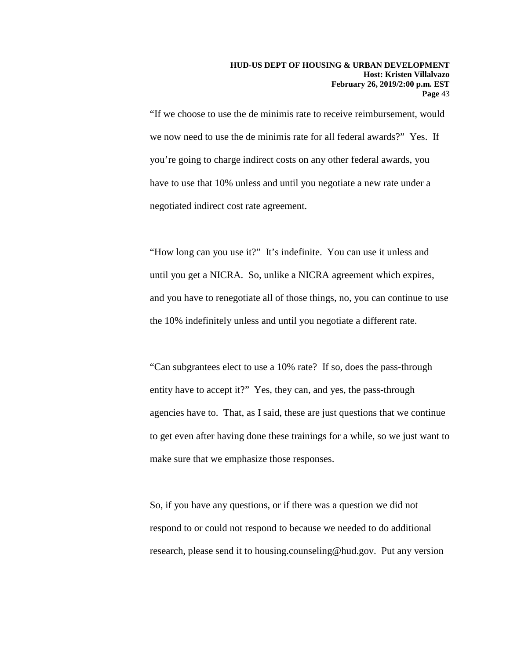"If we choose to use the de minimis rate to receive reimbursement, would we now need to use the de minimis rate for all federal awards?" Yes. If you're going to charge indirect costs on any other federal awards, you have to use that 10% unless and until you negotiate a new rate under a negotiated indirect cost rate agreement.

"How long can you use it?" It's indefinite. You can use it unless and until you get a NICRA. So, unlike a NICRA agreement which expires, and you have to renegotiate all of those things, no, you can continue to use the 10% indefinitely unless and until you negotiate a different rate.

"Can subgrantees elect to use a 10% rate? If so, does the pass-through entity have to accept it?" Yes, they can, and yes, the pass-through agencies have to. That, as I said, these are just questions that we continue to get even after having done these trainings for a while, so we just want to make sure that we emphasize those responses.

So, if you have any questions, or if there was a question we did not respond to or could not respond to because we needed to do additional research, please send it to housing.counseling@hud.gov. Put any version